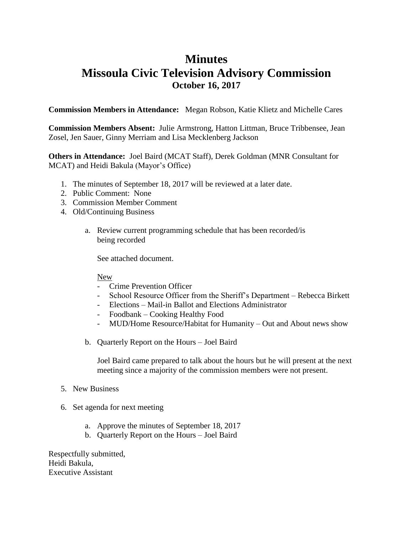# **Minutes Missoula Civic Television Advisory Commission October 16, 2017**

**Commission Members in Attendance:** Megan Robson, Katie Klietz and Michelle Cares

**Commission Members Absent:** Julie Armstrong, Hatton Littman, Bruce Tribbensee, Jean Zosel, Jen Sauer, Ginny Merriam and Lisa Mecklenberg Jackson

**Others in Attendance:** Joel Baird (MCAT Staff), Derek Goldman (MNR Consultant for MCAT) and Heidi Bakula (Mayor's Office)

- 1. The minutes of September 18, 2017 will be reviewed at a later date.
- 2. Public Comment: None
- 3. Commission Member Comment
- 4. Old/Continuing Business
	- a. Review current programming schedule that has been recorded/is being recorded

See attached document.

New

- Crime Prevention Officer
- School Resource Officer from the Sheriff's Department Rebecca Birkett
- Elections Mail-in Ballot and Elections Administrator
- Foodbank Cooking Healthy Food
- MUD/Home Resource/Habitat for Humanity Out and About news show
- b. Quarterly Report on the Hours Joel Baird

Joel Baird came prepared to talk about the hours but he will present at the next meeting since a majority of the commission members were not present.

- 5. New Business
- 6. Set agenda for next meeting
	- a. Approve the minutes of September 18, 2017
	- b. Quarterly Report on the Hours Joel Baird

Respectfully submitted, Heidi Bakula, Executive Assistant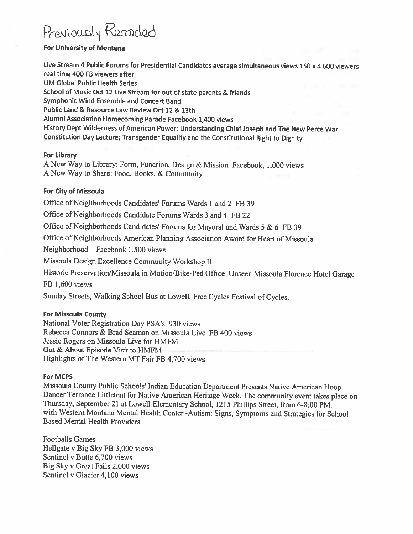# Previously Recorded

## **For University of Montana**

Live Stream 4 Public Forums for Presidential Candidates average simultaneous views 150 x 4 600 viewers real time 400 FB viewers after **UM Global Public Health Series** School of Music Oct 12 Live Stream for out of state parents & friends Symphonic Wind Ensemble and Concert Band Public Land & Resource Law Review Oct 12 & 13th Alumni Association Homecoming Parade Facebook 1,400 views History Dept Wilderness of American Power: Understanding Chief Joseph and The New Perce War Constitution Day Lecture; Transgender Equality and the Constitutional Right to Dignity

#### **For Library**

A New Way to Library: Form, Function, Design & Mission Facebook, 1,000 views A New Way to Share: Food, Books, & Community

## For City of Missoula

Office of Neighborhoods Candidates' Forums Wards 1 and 2 FB 39

Office of Neighborhoods Candidate Forums Wards 3 and 4 FB 22

Office of Neighborhoods Candidates' Forums for Mayoral and Wards 5 & 6 FB 39

Office of Neighborhoods American Planning Association Award for Heart of Missoula

Neighborhood Facebook 1,500 views

Missoula Design Excellence Community Workshop II

Historic Preservation/Missoula in Motion/Bike-Ped Office Unseen Missoula Florence Hotel Garage

FB 1,600 views

Sunday Streets, Walking School Bus at Lowell, Free Cycles Festival of Cycles,

#### **For Missoula County**

National Voter Registration Day PSA's 930 views Rebecca Connors & Brad Seaman on Missoula Live FB 400 views Jessie Rogers on Missoula Live for HMFM Out & About Episode Visit to HMFM-Highlights of The Western MT Fair FB 4,700 views

#### **For MCPS**

Missoula County Public Schools' Indian Education Department Presents Native American Hoop Dancer Terrance Littletent for Native American Heritage Week. The community event takes place on Thursday, September 21 at Lowell Elementary School, 1215 Phillips Street, from 6-8:00 PM. with Western Montana Mental Health Center -Autism: Signs, Symptoms and Strategies for School **Based Mental Health Providers** 

**Footballs Games** Hellgate v Big Sky FB 3,000 views Sentinel v Butte 6,700 views Big Sky v Great Falls 2,000 views Sentinel v Glacier 4,100 views